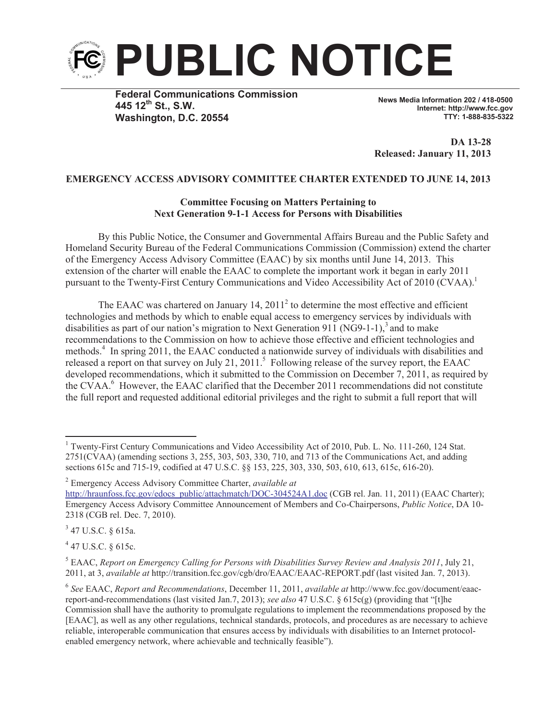

**Federal Communications Commission 445 12th St., S.W. Washington, D.C. 20554**

**News Media Information 202 / 418-0500 Internet: http://www.fcc.gov TTY: 1-888-835-5322**

**DA 13-28 Released: January 11, 2013**

## **EMERGENCY ACCESS ADVISORY COMMITTEE CHARTER EXTENDED TO JUNE 14, 2013**

## **Committee Focusing on Matters Pertaining to Next Generation 9-1-1 Access for Persons with Disabilities**

By this Public Notice, the Consumer and Governmental Affairs Bureau and the Public Safety and Homeland Security Bureau of the Federal Communications Commission (Commission) extend the charter of the Emergency Access Advisory Committee (EAAC) by six months until June 14, 2013. This extension of the charter will enable the EAAC to complete the important work it began in early 2011 pursuant to the Twenty-First Century Communications and Video Accessibility Act of 2010 (CVAA).<sup>1</sup>

The EAAC was chartered on January  $14$ ,  $2011<sup>2</sup>$  to determine the most effective and efficient technologies and methods by which to enable equal access to emergency services by individuals with disabilities as part of our nation's migration to Next Generation 911 (NG9-1-1),<sup>3</sup> and to make recommendations to the Commission on how to achieve those effective and efficient technologies and methods.<sup>4</sup> In spring 2011, the EAAC conducted a nationwide survey of individuals with disabilities and released a report on that survey on July 21, 2011.<sup>5</sup> Following release of the survey report, the EAAC developed recommendations, which it submitted to the Commission on December 7, 2011, as required by the CVAA.<sup>6</sup> However, the EAAC clarified that the December 2011 recommendations did not constitute the full report and requested additional editorial privileges and the right to submit a full report that will

<sup>3</sup> 47 U.S.C. § 615a.

 $4$  47 U.S.C. § 615c.

<sup>&</sup>lt;sup>1</sup> Twenty-First Century Communications and Video Accessibility Act of 2010, Pub. L. No. 111-260, 124 Stat. 2751(CVAA) (amending sections 3, 255, 303, 503, 330, 710, and 713 of the Communications Act, and adding sections 615c and 715-19, codified at 47 U.S.C. §§ 153, 225, 303, 330, 503, 610, 613, 615c, 616-20).

<sup>2</sup> Emergency Access Advisory Committee Charter, *available at*

http://hraunfoss.fcc.gov/edocs\_public/attachmatch/DOC-304524A1.doc (CGB rel. Jan. 11, 2011) (EAAC Charter); Emergency Access Advisory Committee Announcement of Members and Co-Chairpersons, *Public Notice*, DA 10- 2318 (CGB rel. Dec. 7, 2010).

<sup>5</sup> EAAC, *Report on Emergency Calling for Persons with Disabilities Survey Review and Analysis 2011*, July 21, 2011, at 3, *available at* http://transition.fcc.gov/cgb/dro/EAAC/EAAC-REPORT.pdf (last visited Jan. 7, 2013).

<sup>6</sup> *See* EAAC, *Report and Recommendations*, December 11, 2011, *available at* http://www.fcc.gov/document/eaacreport-and-recommendations (last visited Jan.7, 2013); *see also* 47 U.S.C. § 615c(g) (providing that "[t]he Commission shall have the authority to promulgate regulations to implement the recommendations proposed by the [EAAC], as well as any other regulations, technical standards, protocols, and procedures as are necessary to achieve reliable, interoperable communication that ensures access by individuals with disabilities to an Internet protocolenabled emergency network, where achievable and technically feasible").